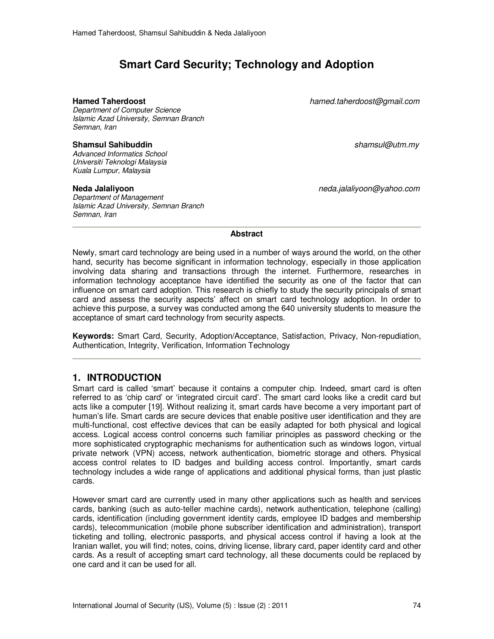# **Smart Card Security; Technology and Adoption**

*Department of Computer Science Islamic Azad University, Semnan Branch Semnan, Iran* 

### **Shamsul Sahibuddin** *shamsul@utm.my*

*Advanced Informatics School Universiti Teknologi Malaysia Kuala Lumpur, Malaysia* 

*Department of Management Islamic Azad University, Semnan Branch Semnan, Iran* 

**Hamed Taherdoost** *hamed.taherdoost@gmail.com*

**Neda Jalaliyoon** *neda.jalaliyoon@yahoo.com*

#### **Abstract**

Newly, smart card technology are being used in a number of ways around the world, on the other hand, security has become significant in information technology, especially in those application involving data sharing and transactions through the internet. Furthermore, researches in information technology acceptance have identified the security as one of the factor that can influence on smart card adoption. This research is chiefly to study the security principals of smart card and assess the security aspects' affect on smart card technology adoption. In order to achieve this purpose, a survey was conducted among the 640 university students to measure the acceptance of smart card technology from security aspects.

**Keywords:** Smart Card, Security, Adoption/Acceptance, Satisfaction, Privacy, Non-repudiation, Authentication, Integrity, Verification, Information Technology

## **1. INTRODUCTION**

Smart card is called 'smart' because it contains a computer chip. Indeed, smart card is often referred to as 'chip card' or 'integrated circuit card'. The smart card looks like a credit card but acts like a computer [19]. Without realizing it, smart cards have become a very important part of human's life. Smart cards are secure devices that enable positive user identification and they are multi-functional, cost effective devices that can be easily adapted for both physical and logical access. Logical access control concerns such familiar principles as password checking or the more sophisticated cryptographic mechanisms for authentication such as windows logon, virtual private network (VPN) access, network authentication, biometric storage and others. Physical access control relates to ID badges and building access control. Importantly, smart cards technology includes a wide range of applications and additional physical forms, than just plastic cards.

However smart card are currently used in many other applications such as health and services cards, banking (such as auto-teller machine cards), network authentication, telephone (calling) cards, identification (including government identity cards, employee ID badges and membership cards), telecommunication (mobile phone subscriber identification and administration), transport ticketing and tolling, electronic passports, and physical access control if having a look at the Iranian wallet, you will find; notes, coins, driving license, library card, paper identity card and other cards. As a result of accepting smart card technology, all these documents could be replaced by one card and it can be used for all.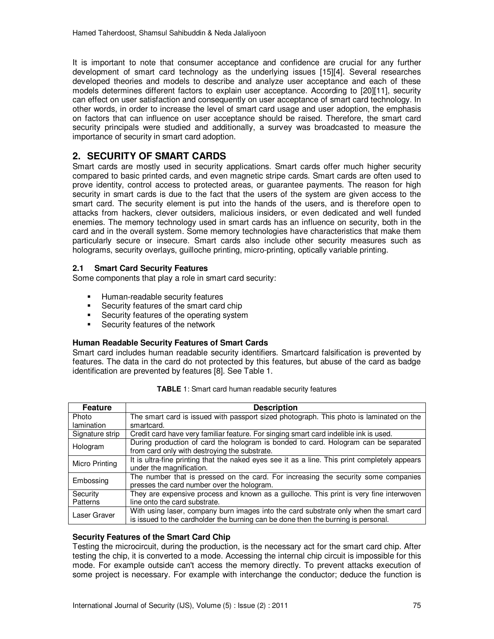It is important to note that consumer acceptance and confidence are crucial for any further development of smart card technology as the underlying issues [15][4]. Several researches developed theories and models to describe and analyze user acceptance and each of these models determines different factors to explain user acceptance. According to [20][11], security can effect on user satisfaction and consequently on user acceptance of smart card technology. In other words, in order to increase the level of smart card usage and user adoption, the emphasis on factors that can influence on user acceptance should be raised. Therefore, the smart card security principals were studied and additionally, a survey was broadcasted to measure the importance of security in smart card adoption.

## **2. SECURITY OF SMART CARDS**

Smart cards are mostly used in security applications. Smart cards offer much higher security compared to basic printed cards, and even magnetic stripe cards. Smart cards are often used to prove identity, control access to protected areas, or guarantee payments. The reason for high security in smart cards is due to the fact that the users of the system are given access to the smart card. The security element is put into the hands of the users, and is therefore open to attacks from hackers, clever outsiders, malicious insiders, or even dedicated and well funded enemies. The memory technology used in smart cards has an influence on security, both in the card and in the overall system. Some memory technologies have characteristics that make them particularly secure or insecure. Smart cards also include other security measures such as holograms, security overlays, guilloche printing, micro-printing, optically variable printing.

## **2.1 Smart Card Security Features**

Some components that play a role in smart card security:

- **Human-readable security features**
- Security features of the smart card chip
- Security features of the operating system
- **Security features of the network**

## **Human Readable Security Features of Smart Cards**

Smart card includes human readable security identifiers. Smartcard falsification is prevented by features. The data in the card do not protected by this features, but abuse of the card as badge identification are prevented by features [8]. See Table 1.

| <b>Feature</b>       | <b>Description</b>                                                                                                                                                          |
|----------------------|-----------------------------------------------------------------------------------------------------------------------------------------------------------------------------|
| Photo                | The smart card is issued with passport sized photograph. This photo is laminated on the                                                                                     |
| lamination           | smartcard.                                                                                                                                                                  |
| Signature strip      | Credit card have very familiar feature. For singing smart card indelible ink is used.                                                                                       |
| Hologram             | During production of card the hologram is bonded to card. Hologram can be separated<br>from card only with destroying the substrate.                                        |
| Micro Printing       | It is ultra-fine printing that the naked eyes see it as a line. This print completely appears<br>under the magnification.                                                   |
| Embossing            | The number that is pressed on the card. For increasing the security some companies<br>presses the card number over the hologram.                                            |
| Security<br>Patterns | They are expensive process and known as a guilloche. This print is very fine interwoven<br>line onto the card substrate.                                                    |
| Laser Graver         | With using laser, company burn images into the card substrate only when the smart card<br>is issued to the cardholder the burning can be done then the burning is personal. |

| TABLE 1: Smart card human readable security features |  |
|------------------------------------------------------|--|
|------------------------------------------------------|--|

#### **Security Features of the Smart Card Chip**

Testing the microcircuit, during the production, is the necessary act for the smart card chip. After testing the chip, it is converted to a mode. Accessing the internal chip circuit is impossible for this mode. For example outside can't access the memory directly. To prevent attacks execution of some project is necessary. For example with interchange the conductor; deduce the function is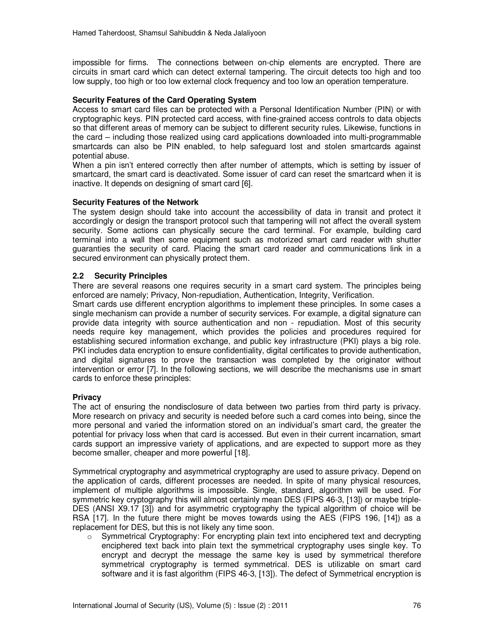impossible for firms. The connections between on-chip elements are encrypted. There are circuits in smart card which can detect external tampering. The circuit detects too high and too low supply, too high or too low external clock frequency and too low an operation temperature.

### **Security Features of the Card Operating System**

Access to smart card files can be protected with a Personal Identification Number (PIN) or with cryptographic keys. PIN protected card access, with fine-grained access controls to data objects so that different areas of memory can be subject to different security rules. Likewise, functions in the card – including those realized using card applications downloaded into multi-programmable smartcards can also be PIN enabled, to help safeguard lost and stolen smartcards against potential abuse.

When a pin isn't entered correctly then after number of attempts, which is setting by issuer of smartcard, the smart card is deactivated. Some issuer of card can reset the smartcard when it is inactive. It depends on designing of smart card [6].

#### **Security Features of the Network**

The system design should take into account the accessibility of data in transit and protect it accordingly or design the transport protocol such that tampering will not affect the overall system security. Some actions can physically secure the card terminal. For example, building card terminal into a wall then some equipment such as motorized smart card reader with shutter guaranties the security of card. Placing the smart card reader and communications link in a secured environment can physically protect them.

### **2.2 Security Principles**

There are several reasons one requires security in a smart card system. The principles being enforced are namely; Privacy, Non-repudiation, Authentication, Integrity, Verification.

Smart cards use different encryption algorithms to implement these principles. In some cases a single mechanism can provide a number of security services. For example, a digital signature can provide data integrity with source authentication and non - repudiation. Most of this security needs require key management, which provides the policies and procedures required for establishing secured information exchange, and public key infrastructure (PKI) plays a big role. PKI includes data encryption to ensure confidentiality, digital certificates to provide authentication, and digital signatures to prove the transaction was completed by the originator without intervention or error [7]. In the following sections, we will describe the mechanisms use in smart cards to enforce these principles:

#### **Privacy**

The act of ensuring the nondisclosure of data between two parties from third party is privacy. More research on privacy and security is needed before such a card comes into being, since the more personal and varied the information stored on an individual's smart card, the greater the potential for privacy loss when that card is accessed. But even in their current incarnation, smart cards support an impressive variety of applications, and are expected to support more as they become smaller, cheaper and more powerful [18].

Symmetrical cryptography and asymmetrical cryptography are used to assure privacy. Depend on the application of cards, different processes are needed. In spite of many physical resources, implement of multiple algorithms is impossible. Single, standard, algorithm will be used. For symmetric key cryptography this will almost certainly mean DES (FIPS 46-3, [13]) or maybe triple-DES (ANSI X9.17 [3]) and for asymmetric cryptography the typical algorithm of choice will be RSA [17]. In the future there might be moves towards using the AES (FIPS 196, [14]) as a replacement for DES, but this is not likely any time soon.

 $\circ$  Symmetrical Cryptography: For encrypting plain text into enciphered text and decrypting enciphered text back into plain text the symmetrical cryptography uses single key. To encrypt and decrypt the message the same key is used by symmetrical therefore symmetrical cryptography is termed symmetrical. DES is utilizable on smart card software and it is fast algorithm (FIPS 46-3, [13]). The defect of Symmetrical encryption is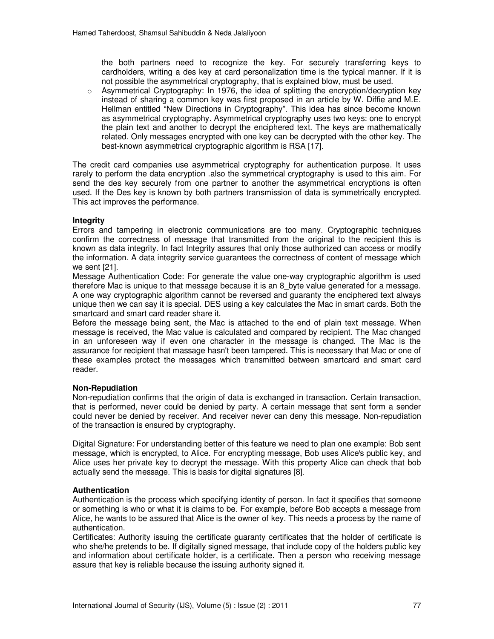the both partners need to recognize the key. For securely transferring keys to cardholders, writing a des key at card personalization time is the typical manner. If it is not possible the asymmetrical cryptography, that is explained blow, must be used.

 $\circ$  Asymmetrical Cryptography: In 1976, the idea of splitting the encryption/decryption key instead of sharing a common key was first proposed in an article by W. Diffie and M.E. Hellman entitled "New Directions in Cryptography". This idea has since become known as asymmetrical cryptography. Asymmetrical cryptography uses two keys: one to encrypt the plain text and another to decrypt the enciphered text. The keys are mathematically related. Only messages encrypted with one key can be decrypted with the other key. The best-known asymmetrical cryptographic algorithm is RSA [17].

The credit card companies use asymmetrical cryptography for authentication purpose. It uses rarely to perform the data encryption .also the symmetrical cryptography is used to this aim. For send the des key securely from one partner to another the asymmetrical encryptions is often used. If the Des key is known by both partners transmission of data is symmetrically encrypted. This act improves the performance.

## **Integrity**

Errors and tampering in electronic communications are too many. Cryptographic techniques confirm the correctness of message that transmitted from the original to the recipient this is known as data integrity. In fact Integrity assures that only those authorized can access or modify the information. A data integrity service guarantees the correctness of content of message which we sent [21].

Message Authentication Code: For generate the value one-way cryptographic algorithm is used therefore Mac is unique to that message because it is an 8 byte value generated for a message. A one way cryptographic algorithm cannot be reversed and guaranty the enciphered text always unique then we can say it is special. DES using a key calculates the Mac in smart cards. Both the smartcard and smart card reader share it.

Before the message being sent, the Mac is attached to the end of plain text message. When message is received, the Mac value is calculated and compared by recipient. The Mac changed in an unforeseen way if even one character in the message is changed. The Mac is the assurance for recipient that massage hasn't been tampered. This is necessary that Mac or one of these examples protect the messages which transmitted between smartcard and smart card reader.

#### **Non-Repudiation**

Non-repudiation confirms that the origin of data is exchanged in transaction. Certain transaction, that is performed, never could be denied by party. A certain message that sent form a sender could never be denied by receiver. And receiver never can deny this message. Non-repudiation of the transaction is ensured by cryptography.

Digital Signature: For understanding better of this feature we need to plan one example: Bob sent message, which is encrypted, to Alice. For encrypting message, Bob uses Alice's public key, and Alice uses her private key to decrypt the message. With this property Alice can check that bob actually send the message. This is basis for digital signatures [8].

#### **Authentication**

Authentication is the process which specifying identity of person. In fact it specifies that someone or something is who or what it is claims to be. For example, before Bob accepts a message from Alice, he wants to be assured that Alice is the owner of key. This needs a process by the name of authentication.

Certificates: Authority issuing the certificate guaranty certificates that the holder of certificate is who she/he pretends to be. If digitally signed message, that include copy of the holders public key and information about certificate holder, is a certificate. Then a person who receiving message assure that key is reliable because the issuing authority signed it.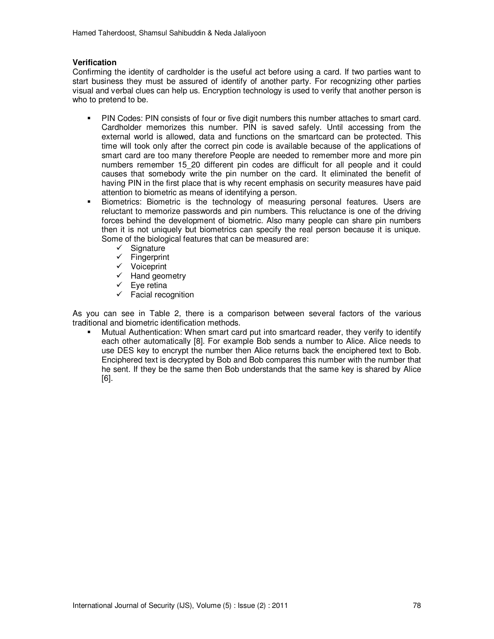#### **Verification**

Confirming the identity of cardholder is the useful act before using a card. If two parties want to start business they must be assured of identify of another party. For recognizing other parties visual and verbal clues can help us. Encryption technology is used to verify that another person is who to pretend to be.

- PIN Codes: PIN consists of four or five digit numbers this number attaches to smart card. Cardholder memorizes this number. PIN is saved safely. Until accessing from the external world is allowed, data and functions on the smartcard can be protected. This time will took only after the correct pin code is available because of the applications of smart card are too many therefore People are needed to remember more and more pin numbers remember 15\_20 different pin codes are difficult for all people and it could causes that somebody write the pin number on the card. It eliminated the benefit of having PIN in the first place that is why recent emphasis on security measures have paid attention to biometric as means of identifying a person.
- Biometrics: Biometric is the technology of measuring personal features. Users are reluctant to memorize passwords and pin numbers. This reluctance is one of the driving forces behind the development of biometric. Also many people can share pin numbers then it is not uniquely but biometrics can specify the real person because it is unique. Some of the biological features that can be measured are:
	- Signature
	- $\checkmark$  Fingerprint
	- Voiceprint
	- Hand geometry
	- $\checkmark$  Eye retina
	- $\checkmark$  Facial recognition

As you can see in Table 2, there is a comparison between several factors of the various traditional and biometric identification methods.

 Mutual Authentication: When smart card put into smartcard reader, they verify to identify each other automatically [8]. For example Bob sends a number to Alice. Alice needs to use DES key to encrypt the number then Alice returns back the enciphered text to Bob. Enciphered text is decrypted by Bob and Bob compares this number with the number that he sent. If they be the same then Bob understands that the same key is shared by Alice [6].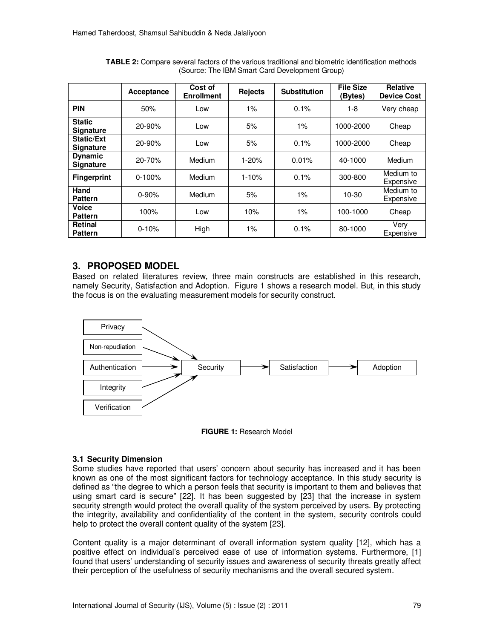|                                       | Acceptance | Cost of<br><b>Enrollment</b> | Rejects   | <b>Substitution</b> | <b>File Size</b><br>(Bytes) | Relative<br><b>Device Cost</b> |
|---------------------------------------|------------|------------------------------|-----------|---------------------|-----------------------------|--------------------------------|
| <b>PIN</b>                            | 50%        | Low                          | $1\%$     | 0.1%                | 1-8                         | Very cheap                     |
| <b>Static</b><br><b>Signature</b>     | 20-90%     | Low                          | 5%        | $1\%$               | 1000-2000                   | Cheap                          |
| <b>Static/Ext</b><br><b>Signature</b> | $20 - 90%$ | Low                          | 5%        | 0.1%                | 1000-2000                   | Cheap                          |
| <b>Dynamic</b><br><b>Signature</b>    | 20-70%     | Medium                       | $1 - 20%$ | 0.01%               | 40-1000                     | Medium                         |
| <b>Fingerprint</b>                    | $0 - 100%$ | Medium                       | $1 - 10%$ | 0.1%                | 300-800                     | Medium to<br>Expensive         |
| Hand<br><b>Pattern</b>                | $0 - 90%$  | Medium                       | 5%        | $1\%$               | $10-30$                     | Medium to<br>Expensive         |
| Voice<br><b>Pattern</b>               | 100%       | Low                          | 10%       | 1%                  | 100-1000                    | Cheap                          |
| <b>Retinal</b><br><b>Pattern</b>      | $0 - 10%$  | High                         | 1%        | 0.1%                | 80-1000                     | Very<br>Expensive              |

**TABLE 2:** Compare several factors of the various traditional and biometric identification methods (Source: The IBM Smart Card Development Group)

## **3. PROPOSED MODEL**

Based on related literatures review, three main constructs are established in this research, namely Security, Satisfaction and Adoption. Figure 1 shows a research model. But, in this study the focus is on the evaluating measurement models for security construct.



**FIGURE 1:** Research Model

## **3.1 Security Dimension**

Some studies have reported that users' concern about security has increased and it has been known as one of the most significant factors for technology acceptance. In this study security is defined as "the degree to which a person feels that security is important to them and believes that using smart card is secure" [22]. It has been suggested by [23] that the increase in system security strength would protect the overall quality of the system perceived by users. By protecting the integrity, availability and confidentiality of the content in the system, security controls could help to protect the overall content quality of the system [23].

Content quality is a major determinant of overall information system quality [12], which has a positive effect on individual's perceived ease of use of information systems. Furthermore, [1] found that users' understanding of security issues and awareness of security threats greatly affect their perception of the usefulness of security mechanisms and the overall secured system.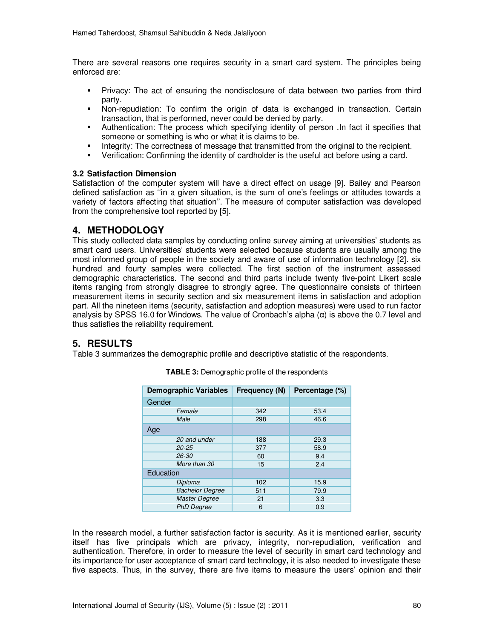There are several reasons one requires security in a smart card system. The principles being enforced are:

- Privacy: The act of ensuring the nondisclosure of data between two parties from third party.
- Non-repudiation: To confirm the origin of data is exchanged in transaction. Certain transaction, that is performed, never could be denied by party.
- Authentication: The process which specifying identity of person .In fact it specifies that someone or something is who or what it is claims to be.
- Integrity: The correctness of message that transmitted from the original to the recipient.<br>In a Verification: Confirming the identity of cardbolder is the useful act before using a card
- Verification: Confirming the identity of cardholder is the useful act before using a card.

### **3.2 Satisfaction Dimension**

Satisfaction of the computer system will have a direct effect on usage [9]. Bailey and Pearson defined satisfaction as ''in a given situation, is the sum of one's feelings or attitudes towards a variety of factors affecting that situation''. The measure of computer satisfaction was developed from the comprehensive tool reported by [5].

## **4. METHODOLOGY**

This study collected data samples by conducting online survey aiming at universities' students as smart card users. Universities' students were selected because students are usually among the most informed group of people in the society and aware of use of information technology [2]. six hundred and fourty samples were collected. The first section of the instrument assessed demographic characteristics. The second and third parts include twenty five-point Likert scale items ranging from strongly disagree to strongly agree. The questionnaire consists of thirteen measurement items in security section and six measurement items in satisfaction and adoption part. All the nineteen items (security, satisfaction and adoption measures) were used to run factor analysis by SPSS 16.0 for Windows. The value of Cronbach's alpha  $(\alpha)$  is above the 0.7 level and thus satisfies the reliability requirement.

## **5. RESULTS**

Table 3 summarizes the demographic profile and descriptive statistic of the respondents.

| Demographic Variables  | Frequency (N) | Percentage (%) |  |  |
|------------------------|---------------|----------------|--|--|
| Gender                 |               |                |  |  |
| Female                 | 342           | 53.4           |  |  |
| Male                   | 298           | 46.6           |  |  |
| Age                    |               |                |  |  |
| 20 and under           | 188           | 29.3           |  |  |
| $20 - 25$              | 377           | 58.9           |  |  |
| 26-30                  | 60            | 9.4            |  |  |
| More than 30           | 15            | 2.4            |  |  |
| Education              |               |                |  |  |
| Diploma                | 102           | 15.9           |  |  |
| <b>Bachelor Degree</b> | 511           | 79.9           |  |  |
| <b>Master Degree</b>   | 21            | 3.3            |  |  |
| <b>PhD Degree</b>      | 6             | 0.9            |  |  |

**TABLE 3:** Demographic profile of the respondents

In the research model, a further satisfaction factor is security. As it is mentioned earlier, security itself has five principals which are privacy, integrity, non-repudiation, verification and authentication. Therefore, in order to measure the level of security in smart card technology and its importance for user acceptance of smart card technology, it is also needed to investigate these five aspects. Thus, in the survey, there are five items to measure the users' opinion and their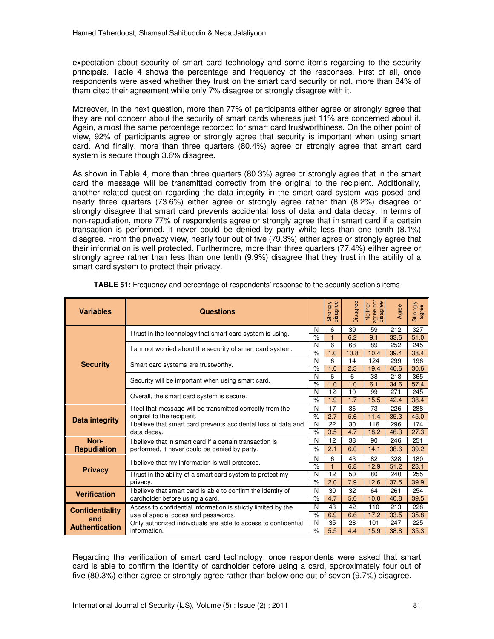expectation about security of smart card technology and some items regarding to the security principals. Table 4 shows the percentage and frequency of the responses. First of all, once respondents were asked whether they trust on the smart card security or not, more than 84% of them cited their agreement while only 7% disagree or strongly disagree with it.

Moreover, in the next question, more than 77% of participants either agree or strongly agree that they are not concern about the security of smart cards whereas just 11% are concerned about it. Again, almost the same percentage recorded for smart card trustworthiness. On the other point of view, 92% of participants agree or strongly agree that security is important when using smart card. And finally, more than three quarters (80.4%) agree or strongly agree that smart card system is secure though 3.6% disagree.

As shown in Table 4, more than three quarters (80.3%) agree or strongly agree that in the smart card the message will be transmitted correctly from the original to the recipient. Additionally, another related question regarding the data integrity in the smart card system was posed and nearly three quarters (73.6%) either agree or strongly agree rather than (8.2%) disagree or strongly disagree that smart card prevents accidental loss of data and data decay. In terms of non-repudiation, more 77% of respondents agree or strongly agree that in smart card if a certain transaction is performed, it never could be denied by party while less than one tenth (8.1%) disagree. From the privacy view, nearly four out of five (79.3%) either agree or strongly agree that their information is well protected. Furthermore, more than three quarters (77.4%) either agree or strongly agree rather than less than one tenth (9.9%) disagree that they trust in the ability of a smart card system to protect their privacy.

| <b>Variables</b>       | Questions                                                                                                 |                    | disagree<br>Strongly | Disagree  | Neither<br>agree nor<br>disagree | Agree       | Strongly<br>agree |
|------------------------|-----------------------------------------------------------------------------------------------------------|--------------------|----------------------|-----------|----------------------------------|-------------|-------------------|
|                        | I trust in the technology that smart card system is using.                                                | N<br>$\%$          | 6                    | 39        | 59<br>9.1                        | 212         | 327               |
|                        |                                                                                                           |                    | 6                    | 6.2<br>68 | 89                               | 33.6<br>252 | 51.0<br>245       |
|                        | I am not worried about the security of smart card system.                                                 | N<br>$\frac{9}{6}$ | 1.0                  | 10.8      | 10.4                             | 39.4        | 38.4              |
| <b>Security</b>        |                                                                                                           | N                  | 6                    | 14        | 124                              | 299         | 196               |
|                        | Smart card systems are trustworthy.                                                                       | $\%$               | 1.0                  | 2.3       | 19.4                             | 46.6        | 30.6              |
|                        | Security will be important when using smart card.                                                         | N                  | 6                    | 6         | 38                               | 218         | 365               |
|                        |                                                                                                           | $\%$               | 1.0                  | 1.0       | 6.1                              | 34.6        | 57.4              |
|                        | Overall, the smart card system is secure.                                                                 | N<br>$\%$          | 12<br>1.9            | 10<br>1.7 | 99                               | 271         | 245<br>38.4       |
|                        |                                                                                                           | N                  | 17                   | 36        | 15.5<br>73                       | 42.4<br>226 | 288               |
|                        | I feel that message will be transmitted correctly from the<br>original to the recipient.                  | $\frac{1}{\alpha}$ | 2.7                  | 5.6       | 11.4                             | 35.3        | 45.0              |
| <b>Data integrity</b>  | I believe that smart card prevents accidental loss of data and<br>data decay.                             |                    | 22                   | 30        | 116                              | 296         | 174               |
|                        |                                                                                                           |                    | 3.5                  | 4.7       | 18.2                             | 46.3        | 27.3              |
| Non-                   | I believe that in smart card if a certain transaction is<br>performed, it never could be denied by party. |                    | 12                   | 38        | 90                               | 246         | 251               |
| <b>Repudiation</b>     |                                                                                                           |                    | 2.1                  | 6.0       | 14.1                             | 38.6        | 39.2              |
|                        |                                                                                                           | N                  | 6                    | 43        | 82                               | 328         | 180               |
| <b>Privacy</b>         | I believe that my information is well protected.                                                          | $\%$<br>N          | $\mathbf{1}$         | 6.8       | 12.9                             | 51.2        | 28.1              |
|                        | I trust in the ability of a smart card system to protect my<br>privacy.                                   |                    | 12                   | 50        | 80                               | 240         | 255               |
|                        |                                                                                                           |                    | 2.0                  | 7.9       | 12.6                             | 37.5        | 39.9              |
| <b>Verification</b>    | I believe that smart card is able to confirm the identity of                                              | N                  | 30                   | 32        | 64                               | 261         | 254               |
|                        | cardholder before using a card.                                                                           | $\%$               | 4.7                  | 5.0       | 10.0                             | 40.8        | 39.5              |
| <b>Confidentiality</b> | Access to confidential information is strictly limited by the                                             | N                  | 43                   | 42        | 110                              | 213         | 228               |
| and                    | use of special codes and passwords.                                                                       | $\frac{9}{6}$<br>N | 6.9<br>35            | 6.6<br>28 | 17.2<br>101                      | 33.5<br>247 | 35.8<br>225       |
| <b>Authentication</b>  | Only authorized individuals are able to access to confidential<br>information.                            | $\%$               | 5.5                  | 4.4       | 15.9                             | 38.8        | 35.3              |
|                        |                                                                                                           |                    |                      |           |                                  |             |                   |

**TABLE 51:** Frequency and percentage of respondents' response to the security section's items

Regarding the verification of smart card technology, once respondents were asked that smart card is able to confirm the identity of cardholder before using a card, approximately four out of five (80.3%) either agree or strongly agree rather than below one out of seven (9.7%) disagree.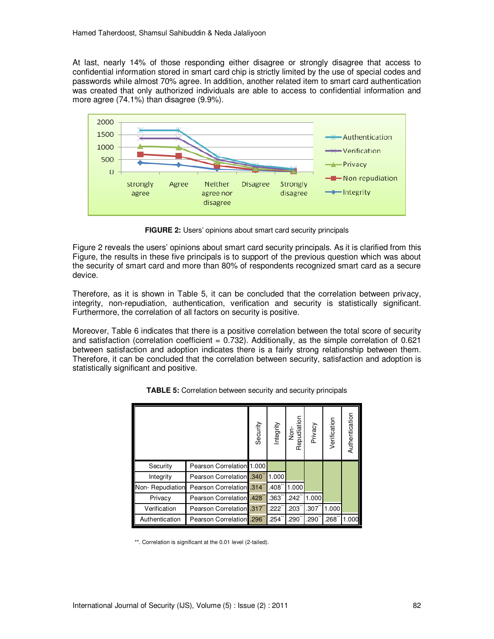At last, nearly 14% of those responding either disagree or strongly disagree that access to confidential information stored in smart card chip is strictly limited by the use of special codes and passwords while almost 70% agree. In addition, another related item to smart card authentication was created that only authorized individuals are able to access to confidential information and more agree (74.1%) than disagree (9.9%).



**FIGURE 2:** Users' opinions about smart card security principals

Figure 2 reveals the users' opinions about smart card security principals. As it is clarified from this Figure, the results in these five principals is to support of the previous question which was about the security of smart card and more than 80% of respondents recognized smart card as a secure device.

Therefore, as it is shown in Table 5, it can be concluded that the correlation between privacy, integrity, non-repudiation, authentication, verification and security is statistically significant. Furthermore, the correlation of all factors on security is positive.

Moreover, Table 6 indicates that there is a positive correlation between the total score of security and satisfaction (correlation coefficient =  $0.732$ ). Additionally, as the simple correlation of  $0.621$ between satisfaction and adoption indicates there is a fairly strong relationship between them. Therefore, it can be concluded that the correlation between security, satisfaction and adoption is statistically significant and positive.

|                 |                                 | Security | Integrity            | Non-<br>Repudiation | Privacy | Verification | Authentication |
|-----------------|---------------------------------|----------|----------------------|---------------------|---------|--------------|----------------|
| Security        | Pearson Correlation 1.000       |          |                      |                     |         |              |                |
| Integrity       | <b>Pearson Correlation 340</b>  |          | 1.000                |                     |         |              |                |
| Non-Repudiation | Pearson Correlation .314        |          | .408                 | 1.000               |         |              |                |
| Privacy         | Pearson Correlation .428        |          | $.363$ <sup>**</sup> | $.242^{^{\circ}}$   | 1.000   |              |                |
| Verification    | Pearson Correlation 317         |          | .222                 | $.203-$             | .307    | 1.000        |                |
| Authentication  | <b>Pearson Correlation</b> .296 |          | .254                 | .290                | .290    | .268         | 1.000          |

**TABLE 5:** Correlation between security and security principals

\*\*. Correlation is significant at the 0.01 level (2-tailed).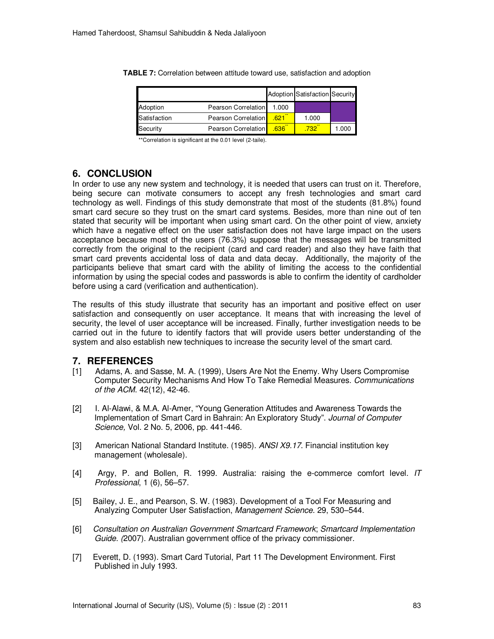|              |                     |       | <b>Adoption Satisfaction Security</b> |       |
|--------------|---------------------|-------|---------------------------------------|-------|
| Adoption     | Pearson Correlation | 1.000 |                                       |       |
| Satisfaction | Pearson Correlation | .621  | 1.000                                 |       |
| Security     | Pearson Correlation | .636  | .732                                  | 1.000 |

**TABLE 7:** Correlation between attitude toward use, satisfaction and adoption

\*\*Correlation is significant at the 0.01 level (2-taile).

## **6. CONCLUSION**

In order to use any new system and technology, it is needed that users can trust on it. Therefore, being secure can motivate consumers to accept any fresh technologies and smart card technology as well. Findings of this study demonstrate that most of the students (81.8%) found smart card secure so they trust on the smart card systems. Besides, more than nine out of ten stated that security will be important when using smart card. On the other point of view, anxiety which have a negative effect on the user satisfaction does not have large impact on the users acceptance because most of the users (76.3%) suppose that the messages will be transmitted correctly from the original to the recipient (card and card reader) and also they have faith that smart card prevents accidental loss of data and data decay. Additionally, the majority of the participants believe that smart card with the ability of limiting the access to the confidential information by using the special codes and passwords is able to confirm the identity of cardholder before using a card (verification and authentication).

The results of this study illustrate that security has an important and positive effect on user satisfaction and consequently on user acceptance. It means that with increasing the level of security, the level of user acceptance will be increased. Finally, further investigation needs to be carried out in the future to identify factors that will provide users better understanding of the system and also establish new techniques to increase the security level of the smart card.

## **7. REFERENCES**

- [1] Adams, A. and Sasse, M. A. (1999), Users Are Not the Enemy. Why Users Compromise Computer Security Mechanisms And How To Take Remedial Measures. *Communications of the ACM*. 42(12), 42-46.
- [2] I. Al-Alawi, & M.A. Al-Amer, "Young Generation Attitudes and Awareness Towards the Implementation of Smart Card in Bahrain: An Exploratory Study". *Journal of Computer Science,* Vol. 2 No. 5, 2006, pp. 441-446.
- [3] American National Standard Institute. (1985). *ANSI X9.17*. Financial institution key management (wholesale).
- [4] Argy, P. and Bollen, R. 1999. Australia: raising the e-commerce comfort level. *IT Professional*, 1 (6), 56–57.
- [5] Bailey, J. E., and Pearson, S. W. (1983). Development of a Tool For Measuring and Analyzing Computer User Satisfaction, *Management Science.* 29, 530–544.
- [6] *Consultation on Australian Government Smartcard Framework*; *Smartcard Implementation Guide. (*2007). Australian government office of the privacy commissioner.
- [7] Everett, D. (1993). Smart Card Tutorial, Part 11 The Development Environment. First Published in July 1993.